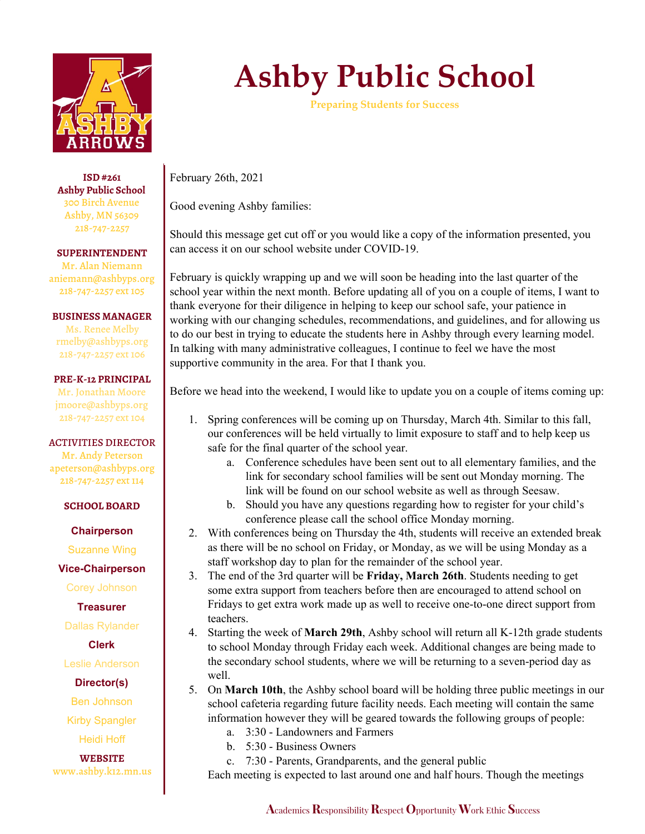

**ISD #261 Ashby Public School** 300 Birch Avenue Ashby, MN 56309 218-747-2257

**SUPERINTENDENT**

Mr. Alan Niemann aniemann@ashbyps.org 218-747-2257 ext 105

**BUSINESS MANAGER**

Ms. Renee Melby rmelby@ashbyps.org 218-747-2257 ext 106

### **PRE-K-12 PRINCIPAL**

Mr. Jonathan Moore jmoore@ashbyps.org 218-747-2257 ext 104

### ACTIVITIES DIRECTOR

Mr. Andy Peterson apeterson@ashbyps.org 218-747-2257 ext 114

### **SCHOOL BOARD**

**Chairperson**

Suzanne Wing

## **Vice-Chairperson**

Corey Johnson

# **Treasurer**

Dallas Rylander

# **Clerk**

Leslie Anderson

## **Director(s)**

Ben Johnson

Kirby Spangler

Heidi Hoff

**WEBSITE** www.ashby.k12.mn.us

# **Ashby Public School**

**Preparing Students for Success**

February 26th, 2021

Good evening Ashby families:

Should this message get cut off or you would like a copy of the information presented, you can access it on our school website under COVID-19.

February is quickly wrapping up and we will soon be heading into the last quarter of the school year within the next month. Before updating all of you on a couple of items, I want to thank everyone for their diligence in helping to keep our school safe, your patience in working with our changing schedules, recommendations, and guidelines, and for allowing us to do our best in trying to educate the students here in Ashby through every learning model. In talking with many administrative colleagues, I continue to feel we have the most supportive community in the area. For that I thank you.

Before we head into the weekend, I would like to update you on a couple of items coming up:

- 1. Spring conferences will be coming up on Thursday, March 4th. Similar to this fall, our conferences will be held virtually to limit exposure to staff and to help keep us safe for the final quarter of the school year.
	- a. Conference schedules have been sent out to all elementary families, and the link for secondary school families will be sent out Monday morning. The link will be found on our school website as well as through Seesaw.
	- b. Should you have any questions regarding how to register for your child's conference please call the school office Monday morning.
- 2. With conferences being on Thursday the 4th, students will receive an extended break as there will be no school on Friday, or Monday, as we will be using Monday as a staff workshop day to plan for the remainder of the school year.
- 3. The end of the 3rd quarter will be **Friday, March 26th**. Students needing to get some extra support from teachers before then are encouraged to attend school on Fridays to get extra work made up as well to receive one-to-one direct support from teachers.
- 4. Starting the week of **March 29th**, Ashby school will return all K-12th grade students to school Monday through Friday each week. Additional changes are being made to the secondary school students, where we will be returning to a seven-period day as well.
- 5. On **March 10th**, the Ashby school board will be holding three public meetings in our school cafeteria regarding future facility needs. Each meeting will contain the same information however they will be geared towards the following groups of people:
	- a. 3:30 Landowners and Farmers
	- b. 5:30 Business Owners
	- c. 7:30 Parents, Grandparents, and the general public

Each meeting is expected to last around one and half hours. Though the meetings